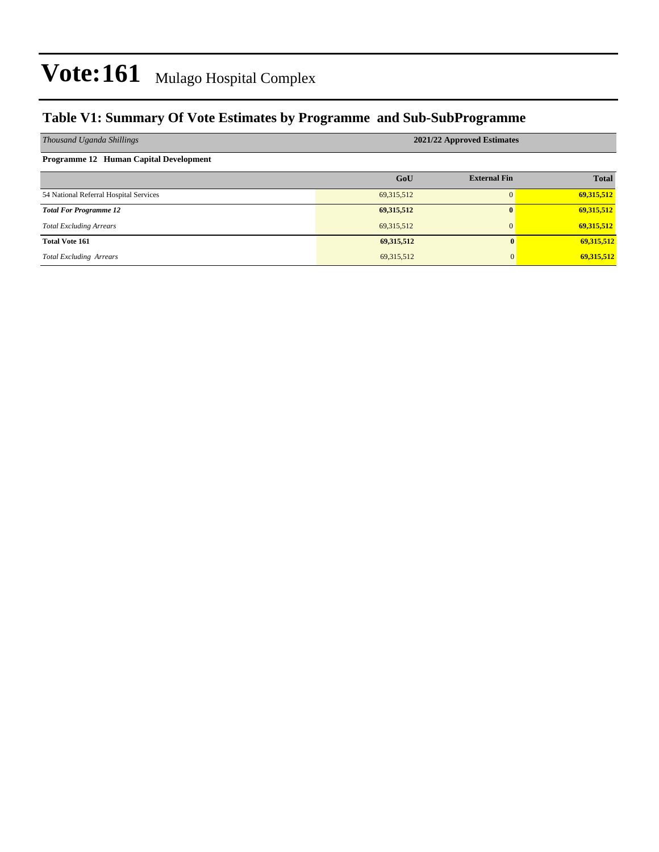### **Table V1: Summary Of Vote Estimates by Programme and Sub-SubProgramme**

| Thousand Uganda Shillings              | 2021/22 Approved Estimates |                     |              |  |  |  |  |
|----------------------------------------|----------------------------|---------------------|--------------|--|--|--|--|
| Programme 12 Human Capital Development |                            |                     |              |  |  |  |  |
|                                        | GoU                        | <b>External Fin</b> | <b>Total</b> |  |  |  |  |
| 54 National Referral Hospital Services | 69, 315, 512               |                     | 69,315,512   |  |  |  |  |
| <b>Total For Programme 12</b>          | 69,315,512                 | 0                   | 69,315,512   |  |  |  |  |
| <b>Total Excluding Arrears</b>         | 69, 315, 512               | $\Omega$            | 69,315,512   |  |  |  |  |
| <b>Total Vote 161</b>                  | 69,315,512                 | 0                   | 69,315,512   |  |  |  |  |
| <b>Total Excluding Arrears</b>         | 69,315,512                 | $\mathbf{0}$        | 69,315,512   |  |  |  |  |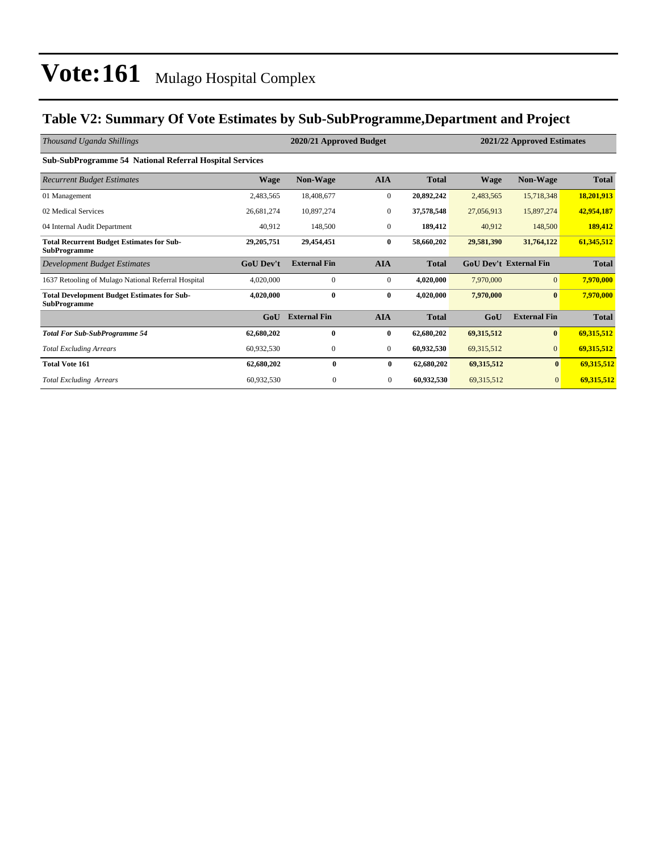### **Table V2: Summary Of Vote Estimates by Sub-SubProgramme,Department and Project**

| Thousand Uganda Shillings                                                 | 2020/21 Approved Budget |                     |                  |              | 2021/22 Approved Estimates |                               |              |  |  |  |  |
|---------------------------------------------------------------------------|-------------------------|---------------------|------------------|--------------|----------------------------|-------------------------------|--------------|--|--|--|--|
| <b>Sub-SubProgramme 54 National Referral Hospital Services</b>            |                         |                     |                  |              |                            |                               |              |  |  |  |  |
| <b>Recurrent Budget Estimates</b>                                         | <b>Wage</b>             | <b>Non-Wage</b>     | <b>AIA</b>       | <b>Total</b> | <b>Wage</b>                | <b>Non-Wage</b>               | <b>Total</b> |  |  |  |  |
| 01 Management                                                             | 2,483,565               | 18,408,677          | $\mathbf{0}$     | 20,892,242   | 2,483,565                  | 15,718,348                    | 18,201,913   |  |  |  |  |
| 02 Medical Services                                                       | 26,681,274              | 10,897,274          | $\mathbf{0}$     | 37,578,548   | 27,056,913                 | 15,897,274                    | 42,954,187   |  |  |  |  |
| 04 Internal Audit Department                                              | 40,912                  | 148,500             | $\mathbf{0}$     | 189,412      | 40,912                     | 148,500                       | 189,412      |  |  |  |  |
| <b>Total Recurrent Budget Estimates for Sub-</b><br><b>SubProgramme</b>   | 29, 205, 751            | 29,454,451          | $\bf{0}$         | 58,660,202   | 29,581,390                 | 31,764,122                    | 61,345,512   |  |  |  |  |
| Development Budget Estimates                                              | <b>GoU Dev't</b>        | <b>External Fin</b> | <b>AIA</b>       | <b>Total</b> |                            | <b>GoU Dev't External Fin</b> | <b>Total</b> |  |  |  |  |
| 1637 Retooling of Mulago National Referral Hospital                       | 4,020,000               | $\mathbf{0}$        | $\boldsymbol{0}$ | 4,020,000    | 7,970,000                  | $\overline{0}$                | 7,970,000    |  |  |  |  |
| <b>Total Development Budget Estimates for Sub-</b><br><b>SubProgramme</b> | 4,020,000               | $\bf{0}$            | $\bf{0}$         | 4,020,000    | 7,970,000                  | $\bf{0}$                      | 7,970,000    |  |  |  |  |
|                                                                           | GoU                     | <b>External Fin</b> | <b>AIA</b>       | <b>Total</b> | GoU                        | <b>External Fin</b>           | <b>Total</b> |  |  |  |  |
| <b>Total For Sub-SubProgramme 54</b>                                      | 62,680,202              | $\bf{0}$            | $\bf{0}$         | 62,680,202   | 69,315,512                 | $\bf{0}$                      | 69,315,512   |  |  |  |  |
| <b>Total Excluding Arrears</b>                                            | 60,932,530              | $\boldsymbol{0}$    | $\mathbf{0}$     | 60,932,530   | 69,315,512                 | $\overline{0}$                | 69,315,512   |  |  |  |  |
| <b>Total Vote 161</b>                                                     | 62,680,202              | $\bf{0}$            | $\bf{0}$         | 62,680,202   | 69,315,512                 | $\bf{0}$                      | 69,315,512   |  |  |  |  |
| <b>Total Excluding Arrears</b>                                            | 60,932,530              | $\mathbf{0}$        | $\overline{0}$   | 60,932,530   | 69, 315, 512               | $\overline{0}$                | 69,315,512   |  |  |  |  |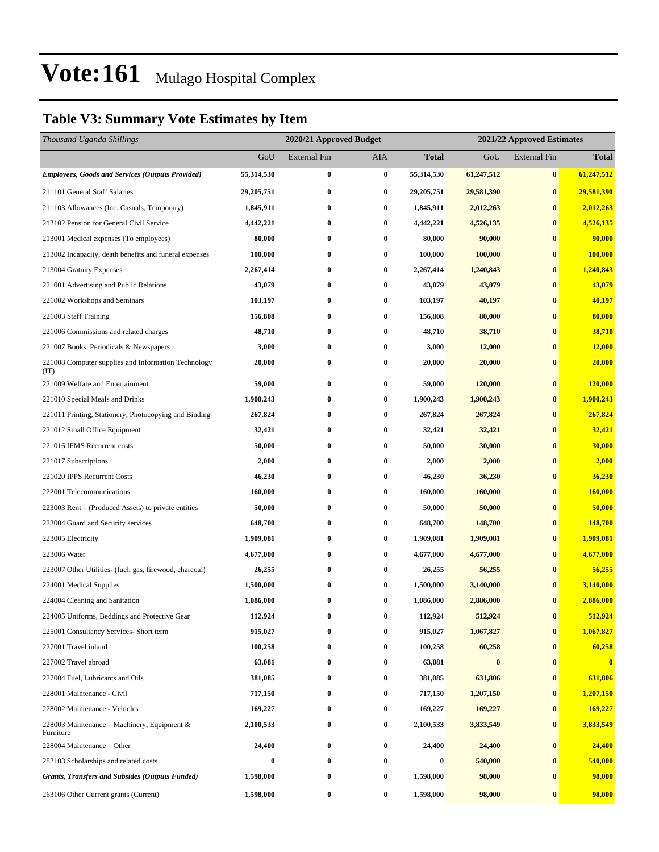### **Table V3: Summary Vote Estimates by Item**

| Thousand Uganda Shillings                                   | 2020/21 Approved Budget |                     |          |              | 2021/22 Approved Estimates |                     |              |  |
|-------------------------------------------------------------|-------------------------|---------------------|----------|--------------|----------------------------|---------------------|--------------|--|
|                                                             | GoU                     | <b>External Fin</b> | AIA      | <b>Total</b> | GoU                        | <b>External Fin</b> | <b>Total</b> |  |
| <b>Employees, Goods and Services (Outputs Provided)</b>     | 55,314,530              | $\bf{0}$            | $\bf{0}$ | 55,314,530   | 61,247,512                 | $\bf{0}$            | 61,247,512   |  |
| 211101 General Staff Salaries                               | 29, 205, 751            | $\bf{0}$            | $\bf{0}$ | 29,205,751   | 29,581,390                 | $\bf{0}$            | 29,581,390   |  |
| 211103 Allowances (Inc. Casuals, Temporary)                 | 1,845,911               | $\bf{0}$            | $\bf{0}$ | 1,845,911    | 2,012,263                  | $\bf{0}$            | 2,012,263    |  |
| 212102 Pension for General Civil Service                    | 4,442,221               | $\bf{0}$            | $\bf{0}$ | 4,442,221    | 4,526,135                  | $\bf{0}$            | 4,526,135    |  |
| 213001 Medical expenses (To employees)                      | 80,000                  | 0                   | $\bf{0}$ | 80,000       | 90,000                     | $\bf{0}$            | 90,000       |  |
| 213002 Incapacity, death benefits and funeral expenses      | 100,000                 | $\bf{0}$            | $\bf{0}$ | 100,000      | 100,000                    | $\bf{0}$            | 100,000      |  |
| 213004 Gratuity Expenses                                    | 2,267,414               | $\bf{0}$            | $\bf{0}$ | 2,267,414    | 1,240,843                  | $\bf{0}$            | 1,240,843    |  |
| 221001 Advertising and Public Relations                     | 43,079                  | $\bf{0}$            | $\bf{0}$ | 43,079       | 43,079                     | $\bf{0}$            | 43,079       |  |
| 221002 Workshops and Seminars                               | 103,197                 | $\bf{0}$            | $\bf{0}$ | 103,197      | 40,197                     | $\bf{0}$            | 40,197       |  |
| 221003 Staff Training                                       | 156,808                 | 0                   | $\bf{0}$ | 156,808      | 80,000                     | $\bf{0}$            | 80,000       |  |
| 221006 Commissions and related charges                      | 48,710                  | $\bf{0}$            | $\bf{0}$ | 48,710       | 38,710                     | $\bf{0}$            | 38,710       |  |
| 221007 Books, Periodicals & Newspapers                      | 3,000                   | $\bf{0}$            | 0        | 3,000        | 12,000                     | $\bf{0}$            | 12,000       |  |
| 221008 Computer supplies and Information Technology<br>(TT) | 20,000                  | $\bf{0}$            | $\bf{0}$ | 20,000       | 20,000                     | $\bf{0}$            | 20,000       |  |
| 221009 Welfare and Entertainment                            | 59,000                  | 0                   | $\bf{0}$ | 59,000       | 120,000                    | $\bf{0}$            | 120,000      |  |
| 221010 Special Meals and Drinks                             | 1,900,243               | $\bf{0}$            | $\bf{0}$ | 1,900,243    | 1,900,243                  | $\bf{0}$            | 1,900,243    |  |
| 221011 Printing, Stationery, Photocopying and Binding       | 267,824                 | 0                   | $\bf{0}$ | 267,824      | 267,824                    | $\bf{0}$            | 267,824      |  |
| 221012 Small Office Equipment                               | 32,421                  | $\bf{0}$            | $\bf{0}$ | 32,421       | 32,421                     | $\bf{0}$            | 32,421       |  |
| 221016 IFMS Recurrent costs                                 | 50,000                  | $\bf{0}$            | $\bf{0}$ | 50,000       | 30,000                     | $\bf{0}$            | 30,000       |  |
| 221017 Subscriptions                                        | 2,000                   | 0                   | $\bf{0}$ | 2,000        | 2,000                      | $\bf{0}$            | 2,000        |  |
| 221020 IPPS Recurrent Costs                                 | 46,230                  | $\bf{0}$            | 0        | 46,230       | 36,230                     | $\bf{0}$            | 36,230       |  |
| 222001 Telecommunications                                   | 160,000                 | 0                   | $\bf{0}$ | 160,000      | 160,000                    | $\bf{0}$            | 160,000      |  |
| 223003 Rent – (Produced Assets) to private entities         | 50,000                  | $\bf{0}$            | $\bf{0}$ | 50,000       | 50,000                     | $\bf{0}$            | 50,000       |  |
| 223004 Guard and Security services                          | 648,700                 | $\bf{0}$            | $\bf{0}$ | 648,700      | 148,700                    | $\bf{0}$            | 148,700      |  |
| 223005 Electricity                                          | 1,909,081               | 0                   | $\bf{0}$ | 1,909,081    | 1,909,081                  | $\bf{0}$            | 1,909,081    |  |
| 223006 Water                                                | 4,677,000               | $\bf{0}$            | 0        | 4,677,000    | 4,677,000                  | $\bf{0}$            | 4,677,000    |  |
| 223007 Other Utilities- (fuel, gas, firewood, charcoal)     | 26,255                  | 0                   | $\bf{0}$ | 26,255       | 56,255                     | $\bf{0}$            | 56,255       |  |
| 224001 Medical Supplies                                     | 1,500,000               | 0                   | $\bf{0}$ | 1,500,000    | 3,140,000                  | $\bf{0}$            | 3,140,000    |  |
| 224004 Cleaning and Sanitation                              | 1,086,000               | $\bf{0}$            | $\bf{0}$ | 1,086,000    | 2,886,000                  | $\bf{0}$            | 2,886,000    |  |
| 224005 Uniforms, Beddings and Protective Gear               | 112,924                 | $\bf{0}$            | $\bf{0}$ | 112,924      | 512,924                    | $\bf{0}$            | 512,924      |  |
| 225001 Consultancy Services- Short term                     | 915,027                 | 0                   | $\bf{0}$ | 915,027      | 1,067,827                  | $\bf{0}$            | 1,067,827    |  |
| 227001 Travel inland                                        | 100,258                 | 0                   | $\bf{0}$ | 100,258      | 60,258                     | $\bf{0}$            | 60,258       |  |
| 227002 Travel abroad                                        | 63,081                  | $\bf{0}$            | $\bf{0}$ | 63,081       | $\bf{0}$                   | $\bf{0}$            | $\mathbf{0}$ |  |
| 227004 Fuel, Lubricants and Oils                            | 381,085                 | 0                   | $\bf{0}$ | 381,085      | 631,806                    | $\bf{0}$            | 631,806      |  |
| 228001 Maintenance - Civil                                  | 717,150                 | $\bf{0}$            | $\bf{0}$ | 717,150      | 1,207,150                  | $\bf{0}$            | 1,207,150    |  |
| 228002 Maintenance - Vehicles                               | 169,227                 | $\bf{0}$            | 0        | 169,227      | 169,227                    | $\bf{0}$            | 169,227      |  |
| 228003 Maintenance – Machinery, Equipment $\&$<br>Furniture | 2,100,533               | 0                   | $\bf{0}$ | 2,100,533    | 3,833,549                  | $\bf{0}$            | 3,833,549    |  |
| 228004 Maintenance – Other                                  | 24,400                  | $\bf{0}$            | $\bf{0}$ | 24,400       | 24,400                     | $\bf{0}$            | 24,400       |  |
| 282103 Scholarships and related costs                       | $\bf{0}$                | $\bf{0}$            | $\bf{0}$ | 0            | 540,000                    | $\bf{0}$            | 540,000      |  |
| <b>Grants, Transfers and Subsides (Outputs Funded)</b>      | 1,598,000               | $\bf{0}$            | $\bf{0}$ | 1,598,000    | 98,000                     | $\bf{0}$            | 98,000       |  |
| 263106 Other Current grants (Current)                       | 1,598,000               | $\bf{0}$            | $\bf{0}$ | 1,598,000    | 98,000                     | $\bf{0}$            | 98,000       |  |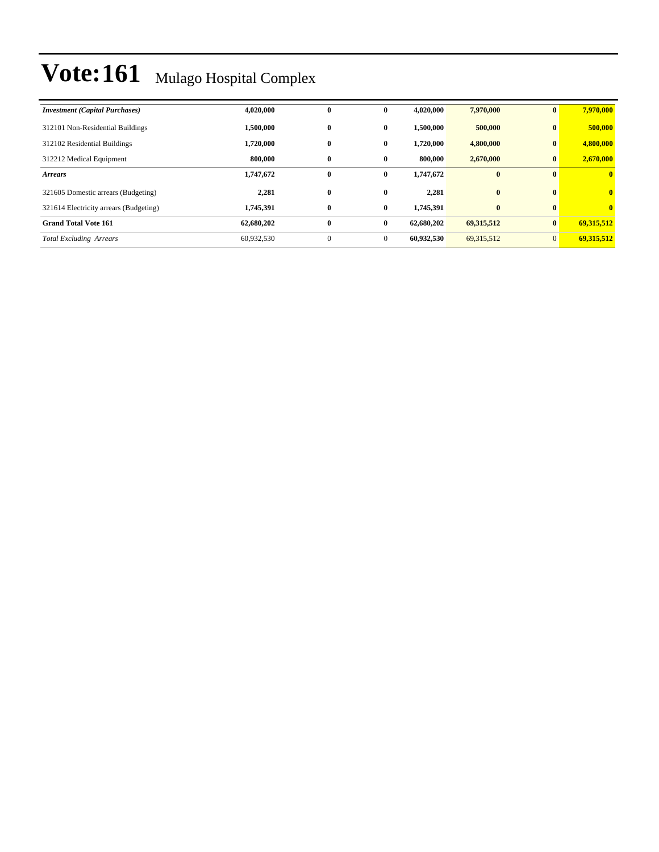| <b>Investment (Capital Purchases)</b>  | 4,020,000  | $\bf{0}$     | $\bf{0}$     | 4,020,000  | 7,970,000  | $\bf{0}$     | 7,970,000    |
|----------------------------------------|------------|--------------|--------------|------------|------------|--------------|--------------|
| 312101 Non-Residential Buildings       | 1,500,000  | $\bf{0}$     | $\mathbf{0}$ | 1.500.000  | 500,000    | $\mathbf{0}$ | 500,000      |
| 312102 Residential Buildings           | 1,720,000  | $\bf{0}$     | $\bf{0}$     | 1,720,000  | 4,800,000  | $\mathbf{0}$ | 4,800,000    |
| 312212 Medical Equipment               | 800,000    | $\bf{0}$     | $\bf{0}$     | 800,000    | 2,670,000  | $\bf{0}$     | 2,670,000    |
| <b>Arrears</b>                         | 1,747,672  | $\bf{0}$     | $\bf{0}$     | 1,747,672  | $\bf{0}$   | $\mathbf{0}$ | $\mathbf{0}$ |
| 321605 Domestic arrears (Budgeting)    | 2,281      | $\bf{0}$     | $\mathbf{0}$ | 2.281      | $\bf{0}$   | $\mathbf{0}$ | $\mathbf{0}$ |
| 321614 Electricity arrears (Budgeting) | 1,745,391  | $\bf{0}$     | $\bf{0}$     | 1,745,391  | $\bf{0}$   | $\mathbf{0}$ | $\mathbf{0}$ |
| <b>Grand Total Vote 161</b>            | 62,680,202 | $\bf{0}$     | $\bf{0}$     | 62.680.202 | 69,315,512 | $\mathbf{0}$ | 69.315.512   |
| <b>Total Excluding Arrears</b>         | 60,932,530 | $\mathbf{0}$ | $\mathbf{0}$ | 60,932,530 | 69,315,512 | $\Omega$     | 69,315,512   |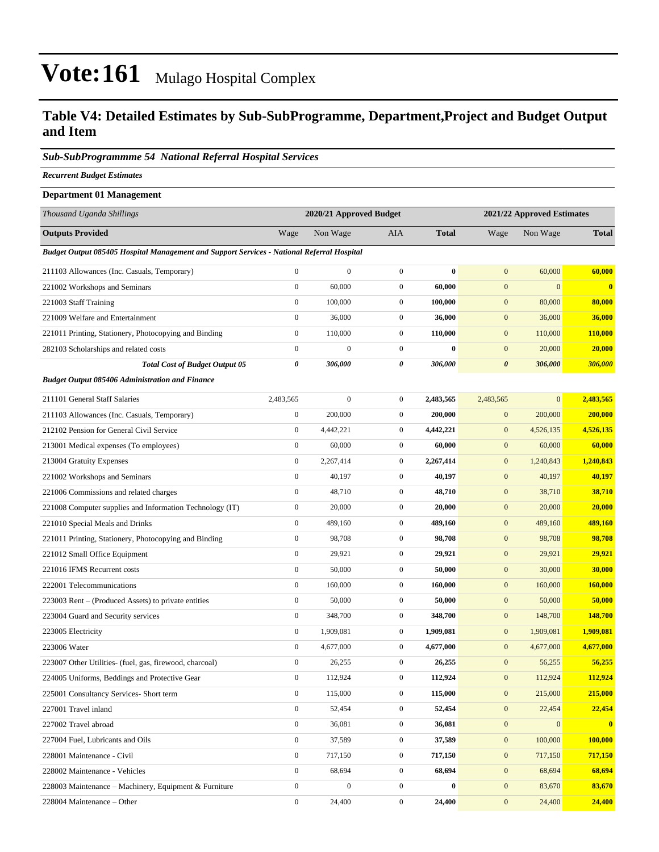#### **Table V4: Detailed Estimates by Sub-SubProgramme, Department,Project and Budget Output and Item**

#### *Sub-SubProgrammme 54 National Referral Hospital Services*

*Recurrent Budget Estimates*

| <b>Department 01 Management</b>                                                            |                  |                         |                  |              |                       |                            |              |  |  |
|--------------------------------------------------------------------------------------------|------------------|-------------------------|------------------|--------------|-----------------------|----------------------------|--------------|--|--|
| Thousand Uganda Shillings                                                                  |                  | 2020/21 Approved Budget |                  |              |                       | 2021/22 Approved Estimates |              |  |  |
| <b>Outputs Provided</b>                                                                    | Wage             | Non Wage                | AIA              | <b>Total</b> | Wage                  | Non Wage                   | <b>Total</b> |  |  |
| Budget Output 085405 Hospital Management and Support Services - National Referral Hospital |                  |                         |                  |              |                       |                            |              |  |  |
| 211103 Allowances (Inc. Casuals, Temporary)                                                | $\overline{0}$   | $\boldsymbol{0}$        | $\boldsymbol{0}$ | $\bf{0}$     | $\mathbf{0}$          | 60,000                     | 60,000       |  |  |
| 221002 Workshops and Seminars                                                              | $\overline{0}$   | 60,000                  | $\boldsymbol{0}$ | 60,000       | $\mathbf{0}$          | $\mathbf{0}$               | $\mathbf{0}$ |  |  |
| 221003 Staff Training                                                                      | $\overline{0}$   | 100,000                 | $\mathbf{0}$     | 100,000      | $\mathbf{0}$          | 80,000                     | 80,000       |  |  |
| 221009 Welfare and Entertainment                                                           | $\overline{0}$   | 36,000                  | $\mathbf{0}$     | 36,000       | $\boldsymbol{0}$      | 36,000                     | 36,000       |  |  |
| 221011 Printing, Stationery, Photocopying and Binding                                      | $\overline{0}$   | 110,000                 | $\mathbf{0}$     | 110,000      | $\mathbf{0}$          | 110,000                    | 110,000      |  |  |
| 282103 Scholarships and related costs                                                      | $\boldsymbol{0}$ | $\boldsymbol{0}$        | $\boldsymbol{0}$ | $\bf{0}$     | $\mathbf{0}$          | 20,000                     | 20,000       |  |  |
| <b>Total Cost of Budget Output 05</b>                                                      | 0                | 306,000                 | 0                | 306,000      | $\boldsymbol{\theta}$ | 306,000                    | 306,000      |  |  |
| <b>Budget Output 085406 Administration and Finance</b>                                     |                  |                         |                  |              |                       |                            |              |  |  |
| 211101 General Staff Salaries                                                              | 2,483,565        | $\boldsymbol{0}$        | $\mathbf{0}$     | 2,483,565    | 2,483,565             | $\mathbf{0}$               | 2,483,565    |  |  |
| 211103 Allowances (Inc. Casuals, Temporary)                                                | $\boldsymbol{0}$ | 200,000                 | $\mathbf{0}$     | 200,000      | $\mathbf{0}$          | 200,000                    | 200,000      |  |  |
| 212102 Pension for General Civil Service                                                   | $\boldsymbol{0}$ | 4,442,221               | $\mathbf{0}$     | 4,442,221    | $\mathbf{0}$          | 4,526,135                  | 4,526,135    |  |  |
| 213001 Medical expenses (To employees)                                                     | $\boldsymbol{0}$ | 60,000                  | $\mathbf{0}$     | 60,000       | $\mathbf{0}$          | 60,000                     | 60,000       |  |  |
| 213004 Gratuity Expenses                                                                   | $\overline{0}$   | 2,267,414               | $\mathbf{0}$     | 2,267,414    | $\mathbf{0}$          | 1,240,843                  | 1,240,843    |  |  |
| 221002 Workshops and Seminars                                                              | $\overline{0}$   | 40,197                  | $\mathbf{0}$     | 40,197       | $\mathbf{0}$          | 40,197                     | 40,197       |  |  |
| 221006 Commissions and related charges                                                     | $\overline{0}$   | 48,710                  | $\mathbf{0}$     | 48,710       | $\mathbf{0}$          | 38,710                     | 38,710       |  |  |
| 221008 Computer supplies and Information Technology (IT)                                   | $\overline{0}$   | 20,000                  | $\mathbf{0}$     | 20,000       | $\mathbf{0}$          | 20,000                     | 20,000       |  |  |
| 221010 Special Meals and Drinks                                                            | $\boldsymbol{0}$ | 489,160                 | $\boldsymbol{0}$ | 489,160      | $\mathbf{0}$          | 489,160                    | 489,160      |  |  |
| 221011 Printing, Stationery, Photocopying and Binding                                      | $\boldsymbol{0}$ | 98,708                  | $\mathbf{0}$     | 98,708       | $\boldsymbol{0}$      | 98,708                     | 98,708       |  |  |
| 221012 Small Office Equipment                                                              | $\boldsymbol{0}$ | 29,921                  | $\mathbf{0}$     | 29,921       | $\mathbf{0}$          | 29,921                     | 29,921       |  |  |
| 221016 IFMS Recurrent costs                                                                | $\boldsymbol{0}$ | 50,000                  | $\mathbf{0}$     | 50,000       | $\mathbf{0}$          | 30,000                     | 30,000       |  |  |
| 222001 Telecommunications                                                                  | $\overline{0}$   | 160,000                 | $\mathbf{0}$     | 160,000      | $\mathbf{0}$          | 160,000                    | 160,000      |  |  |
| 223003 Rent – (Produced Assets) to private entities                                        | $\overline{0}$   | 50,000                  | $\boldsymbol{0}$ | 50,000       | $\mathbf{0}$          | 50,000                     | 50,000       |  |  |
| 223004 Guard and Security services                                                         | $\boldsymbol{0}$ | 348,700                 | $\mathbf{0}$     | 348,700      | $\boldsymbol{0}$      | 148,700                    | 148,700      |  |  |
| 223005 Electricity                                                                         | $\overline{0}$   | 1,909,081               | $\mathbf{0}$     | 1,909,081    | $\boldsymbol{0}$      | 1,909,081                  | 1.909.081    |  |  |
| 223006 Water                                                                               | $\boldsymbol{0}$ | 4,677,000               | $\mathbf{0}$     | 4,677,000    | $\mathbf{0}$          | 4,677,000                  | 4,677,000    |  |  |
| 223007 Other Utilities- (fuel, gas, firewood, charcoal)                                    | $\boldsymbol{0}$ | 26,255                  | $\mathbf{0}$     | 26,255       | $\overline{0}$        | 56,255                     | 56,255       |  |  |
| 224005 Uniforms, Beddings and Protective Gear                                              | $\boldsymbol{0}$ | 112,924                 | $\boldsymbol{0}$ | 112,924      | $\boldsymbol{0}$      | 112,924                    | 112,924      |  |  |
| 225001 Consultancy Services- Short term                                                    | $\boldsymbol{0}$ | 115,000                 | $\boldsymbol{0}$ | 115,000      | $\mathbf{0}$          | 215,000                    | 215,000      |  |  |
| 227001 Travel inland                                                                       | $\boldsymbol{0}$ | 52,454                  | $\boldsymbol{0}$ | 52,454       | $\boldsymbol{0}$      | 22,454                     | 22,454       |  |  |
| 227002 Travel abroad                                                                       | $\overline{0}$   | 36,081                  | $\boldsymbol{0}$ | 36,081       | $\boldsymbol{0}$      | $\boldsymbol{0}$           | $\bf{0}$     |  |  |
| 227004 Fuel, Lubricants and Oils                                                           | $\boldsymbol{0}$ | 37,589                  | $\boldsymbol{0}$ | 37,589       | $\boldsymbol{0}$      | 100,000                    | 100,000      |  |  |
| 228001 Maintenance - Civil                                                                 | $\boldsymbol{0}$ | 717,150                 | $\boldsymbol{0}$ | 717,150      | $\boldsymbol{0}$      | 717,150                    | 717,150      |  |  |
| 228002 Maintenance - Vehicles                                                              | $\boldsymbol{0}$ | 68,694                  | $\boldsymbol{0}$ | 68,694       | $\boldsymbol{0}$      | 68,694                     | 68,694       |  |  |
| 228003 Maintenance – Machinery, Equipment & Furniture                                      | $\boldsymbol{0}$ | $\boldsymbol{0}$        | $\boldsymbol{0}$ | $\bf{0}$     | $\boldsymbol{0}$      | 83,670                     | 83,670       |  |  |
| 228004 Maintenance - Other                                                                 | $\boldsymbol{0}$ | 24,400                  | $\boldsymbol{0}$ | 24,400       | $\boldsymbol{0}$      | 24,400                     | 24,400       |  |  |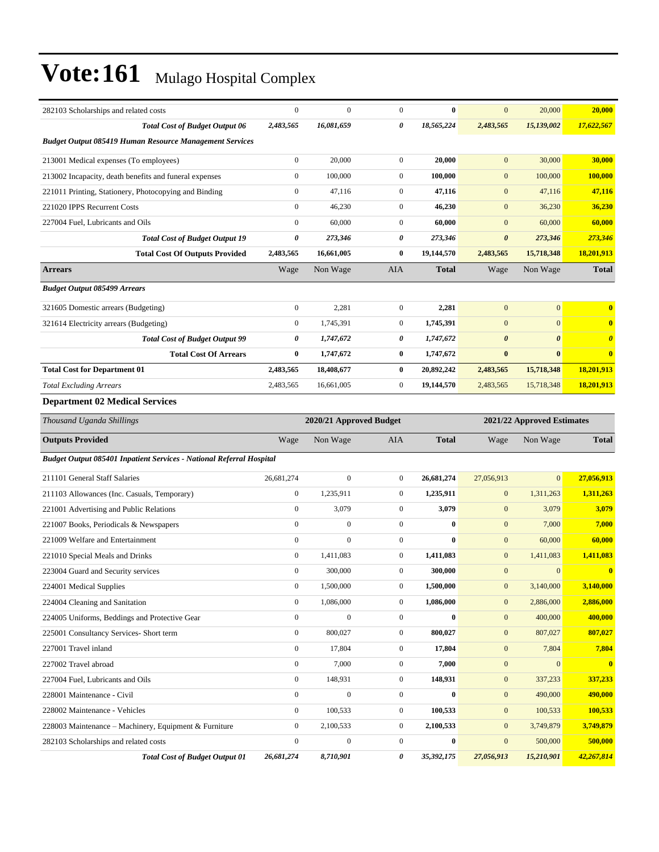| 282103 Scholarships and related costs                                | $\mathbf{0}$     | $\mathbf{0}$            | $\mathbf{0}$     | $\bf{0}$     | $\mathbf{0}$          | 20,000                     | 20,000                |
|----------------------------------------------------------------------|------------------|-------------------------|------------------|--------------|-----------------------|----------------------------|-----------------------|
| <b>Total Cost of Budget Output 06</b>                                | 2,483,565        | 16,081,659              | 0                | 18,565,224   | 2,483,565             | 15,139,002                 | 17,622,567            |
| <b>Budget Output 085419 Human Resource Management Services</b>       |                  |                         |                  |              |                       |                            |                       |
| 213001 Medical expenses (To employees)                               | $\boldsymbol{0}$ | 20,000                  | $\mathbf{0}$     | 20,000       | $\mathbf{0}$          | 30,000                     | 30,000                |
| 213002 Incapacity, death benefits and funeral expenses               | $\boldsymbol{0}$ | 100,000                 | $\overline{0}$   | 100.000      | $\mathbf{0}$          | 100,000                    | 100,000               |
| 221011 Printing, Stationery, Photocopying and Binding                | $\boldsymbol{0}$ | 47,116                  | $\mathbf{0}$     | 47,116       | $\mathbf{0}$          | 47,116                     | 47,116                |
| 221020 IPPS Recurrent Costs                                          | $\boldsymbol{0}$ | 46,230                  | $\mathbf{0}$     | 46,230       | $\mathbf{0}$          | 36,230                     | 36,230                |
| 227004 Fuel. Lubricants and Oils                                     | $\mathbf{0}$     | 60,000                  | $\overline{0}$   | 60,000       | $\mathbf{0}$          | 60,000                     | 60,000                |
| <b>Total Cost of Budget Output 19</b>                                | 0                | 273,346                 | 0                | 273,346      | $\boldsymbol{\theta}$ | 273,346                    | 273,346               |
| <b>Total Cost Of Outputs Provided</b>                                | 2,483,565        | 16,661,005              | $\bf{0}$         | 19,144,570   | 2,483,565             | 15,718,348                 | 18,201,913            |
| <b>Arrears</b>                                                       | Wage             | Non Wage                | AIA              | <b>Total</b> | Wage                  | Non Wage                   | <b>Total</b>          |
| <b>Budget Output 085499 Arrears</b>                                  |                  |                         |                  |              |                       |                            |                       |
| 321605 Domestic arrears (Budgeting)                                  | $\boldsymbol{0}$ | 2,281                   | $\mathbf{0}$     | 2,281        | $\mathbf{0}$          | $\mathbf{0}$               | $\bf{0}$              |
| 321614 Electricity arrears (Budgeting)                               | $\boldsymbol{0}$ | 1,745,391               | $\overline{0}$   | 1,745,391    | $\mathbf{0}$          | $\mathbf{0}$               | $\bf{0}$              |
| <b>Total Cost of Budget Output 99</b>                                | 0                | 1,747,672               | 0                | 1,747,672    | $\boldsymbol{\theta}$ | $\boldsymbol{\theta}$      | $\boldsymbol{\theta}$ |
| <b>Total Cost Of Arrears</b>                                         | $\bf{0}$         | 1,747,672               | $\bf{0}$         | 1,747,672    | $\bf{0}$              | $\bf{0}$                   | $\bf{0}$              |
| <b>Total Cost for Department 01</b>                                  | 2,483,565        | 18,408,677              | $\bf{0}$         | 20,892,242   | 2,483,565             | 15,718,348                 | 18,201,913            |
| <b>Total Excluding Arrears</b>                                       | 2,483,565        | 16,661,005              | $\boldsymbol{0}$ | 19,144,570   | 2,483,565             | 15,718,348                 | 18,201,913            |
| <b>Department 02 Medical Services</b>                                |                  |                         |                  |              |                       |                            |                       |
| Thousand Uganda Shillings                                            |                  | 2020/21 Approved Budget |                  |              |                       | 2021/22 Approved Estimates |                       |
|                                                                      |                  |                         |                  |              |                       |                            |                       |
| <b>Outputs Provided</b>                                              | Wage             | Non Wage                | <b>AIA</b>       | <b>Total</b> | Wage                  | Non Wage                   | <b>Total</b>          |
| Budget Output 085401 Inpatient Services - National Referral Hospital |                  |                         |                  |              |                       |                            |                       |
| 211101 General Staff Salaries                                        | 26,681,274       | $\mathbf{0}$            | $\overline{0}$   | 26,681,274   | 27,056,913            | $\mathbf{0}$               | 27,056,913            |
| 211103 Allowances (Inc. Casuals, Temporary)                          | $\boldsymbol{0}$ | 1,235,911               | $\overline{0}$   | 1,235,911    | $\mathbf{0}$          | 1,311,263                  | 1,311,263             |
| 221001 Advertising and Public Relations                              | $\boldsymbol{0}$ | 3,079                   | $\mathbf{0}$     | 3,079        | $\mathbf{0}$          | 3,079                      | 3,079                 |
| 221007 Books, Periodicals & Newspapers                               | $\boldsymbol{0}$ | $\boldsymbol{0}$        | $\overline{0}$   | $\bf{0}$     | $\mathbf{0}$          | 7,000                      | 7,000                 |
| 221009 Welfare and Entertainment                                     | $\mathbf{0}$     | $\mathbf{0}$            | $\overline{0}$   | $\bf{0}$     | $\mathbf{0}$          | 60,000                     | 60,000                |
| 221010 Special Meals and Drinks                                      | $\boldsymbol{0}$ | 1,411,083               | $\mathbf{0}$     | 1,411,083    | $\mathbf{0}$          | 1,411,083                  | 1,411,083             |
| 223004 Guard and Security services                                   | $\mathbf{0}$     | 300,000                 | $\mathbf{0}$     | 300,000      | $\mathbf{0}$          | $\mathbf{0}$               | $\bf{0}$              |
| 224001 Medical Supplies                                              | $\bf{0}$         | 1,500,000               | $\boldsymbol{0}$ | 1,500,000    | $\bf{0}$              | 3,140,000                  | 3,140,000             |
| 224004 Cleaning and Sanitation                                       | $\boldsymbol{0}$ | 1,086,000               | $\overline{0}$   | 1,086,000    | $\boldsymbol{0}$      | 2,886,000                  | 2,886,000             |
| 224005 Uniforms, Beddings and Protective Gear                        | $\mathbf{0}$     | $\boldsymbol{0}$        | $\boldsymbol{0}$ | $\bf{0}$     | $\mathbf{0}$          | 400,000                    | 400,000               |
| 225001 Consultancy Services- Short term                              | $\boldsymbol{0}$ | 800,027                 | $\boldsymbol{0}$ | 800,027      | $\mathbf{0}$          | 807,027                    | 807,027               |
| 227001 Travel inland                                                 | $\boldsymbol{0}$ | 17,804                  | $\boldsymbol{0}$ | 17,804       | $\boldsymbol{0}$      | 7,804                      | 7,804                 |
| 227002 Travel abroad                                                 | $\boldsymbol{0}$ | 7,000                   | $\boldsymbol{0}$ | 7,000        | $\boldsymbol{0}$      | $\mathbf{0}$               | $\mathbf{0}$          |
| 227004 Fuel, Lubricants and Oils                                     | $\mathbf{0}$     | 148,931                 | $\boldsymbol{0}$ | 148,931      | $\boldsymbol{0}$      | 337,233                    | 337,233               |
| 228001 Maintenance - Civil                                           | $\mathbf{0}$     | $\boldsymbol{0}$        | $\boldsymbol{0}$ | $\bf{0}$     | $\boldsymbol{0}$      | 490,000                    | 490,000               |
| 228002 Maintenance - Vehicles                                        | $\boldsymbol{0}$ | 100,533                 | $\boldsymbol{0}$ | 100,533      | $\mathbf{0}$          | 100,533                    | 100,533               |
| 228003 Maintenance - Machinery, Equipment & Furniture                | $\boldsymbol{0}$ | 2,100,533               | $\boldsymbol{0}$ | 2,100,533    | $\boldsymbol{0}$      | 3,749,879                  | 3,749,879             |
| 282103 Scholarships and related costs                                | $\boldsymbol{0}$ | $\boldsymbol{0}$        | $\boldsymbol{0}$ | $\bf{0}$     | $\mathbf{0}$          | 500,000                    | 500,000               |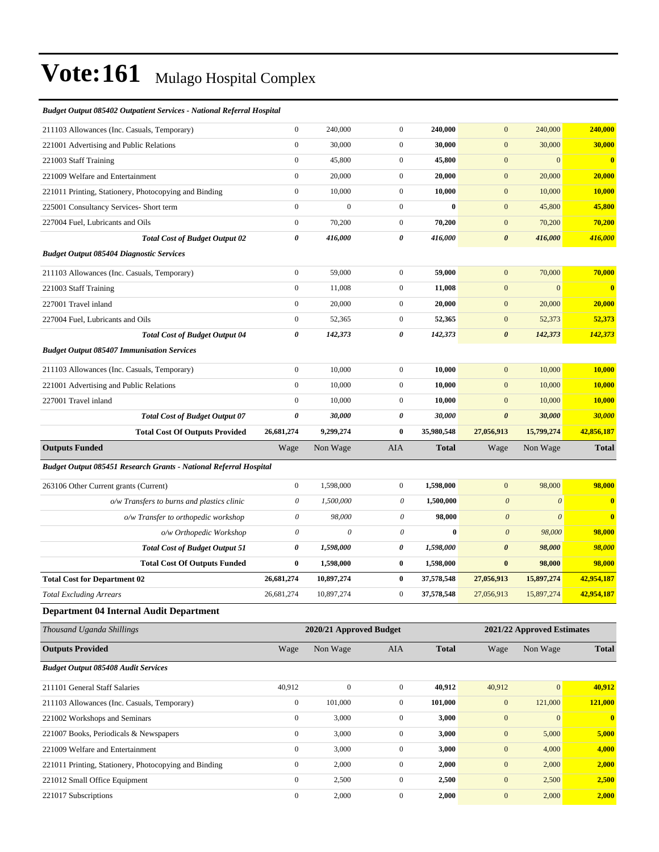#### *Budget Output 085402 Outpatient Services - National Referral Hospital*

| 221017 Subscriptions                                              | $\boldsymbol{0}$          | 2,000                   | $\boldsymbol{0}$ | 2,000        | $\boldsymbol{0}$          | 2,000                      | 2,000                   |
|-------------------------------------------------------------------|---------------------------|-------------------------|------------------|--------------|---------------------------|----------------------------|-------------------------|
| 221012 Small Office Equipment                                     | $\boldsymbol{0}$          | 2,500                   | $\boldsymbol{0}$ | 2,500        | $\boldsymbol{0}$          | 2,500                      | 2,500                   |
| 221011 Printing, Stationery, Photocopying and Binding             | $\boldsymbol{0}$          | 2,000                   | $\boldsymbol{0}$ | 2,000        | $\boldsymbol{0}$          | 2,000                      | 2,000                   |
| 221009 Welfare and Entertainment                                  | $\boldsymbol{0}$          | 3,000                   | $\boldsymbol{0}$ | 3,000        | $\boldsymbol{0}$          | 4,000                      | 4,000                   |
| 221007 Books, Periodicals & Newspapers                            | $\boldsymbol{0}$          | 3,000                   | $\boldsymbol{0}$ | 3,000        | $\mathbf{0}$              | 5,000                      | 5,000                   |
| 221002 Workshops and Seminars                                     | $\boldsymbol{0}$          | 3,000                   | $\boldsymbol{0}$ | 3,000        | $\boldsymbol{0}$          | $\boldsymbol{0}$           | $\bullet$               |
| 211103 Allowances (Inc. Casuals, Temporary)                       | $\overline{0}$            | 101,000                 | $\mathbf{0}$     | 101,000      | $\mathbf{0}$              | 121,000                    | 121,000                 |
| 211101 General Staff Salaries                                     | 40,912                    | $\mathbf{0}$            | $\boldsymbol{0}$ | 40,912       | 40,912                    | $\vert 0 \vert$            | 40,912                  |
| <b>Budget Output 085408 Audit Services</b>                        |                           |                         |                  |              |                           |                            |                         |
| <b>Outputs Provided</b>                                           | Wage                      | Non Wage                | AIA              | <b>Total</b> | Wage                      | Non Wage                   | <b>Total</b>            |
| Thousand Uganda Shillings                                         |                           | 2020/21 Approved Budget |                  |              |                           | 2021/22 Approved Estimates |                         |
| <b>Department 04 Internal Audit Department</b>                    |                           |                         |                  |              |                           |                            |                         |
| <b>Total Excluding Arrears</b>                                    | 26,681,274                | 10,897,274              | $\boldsymbol{0}$ | 37,578,548   | 27,056,913                | 15,897,274                 | 42,954,187              |
| <b>Total Cost for Department 02</b>                               | 26,681,274                | 10,897,274              | $\bf{0}$         | 37,578,548   | 27,056,913                | 15,897,274                 | 42,954,187              |
| <b>Total Cost Of Outputs Funded</b>                               | $\bf{0}$                  | 1,598,000               | $\bf{0}$         | 1,598,000    | $\bf{0}$                  | 98,000                     | 98,000                  |
| <b>Total Cost of Budget Output 51</b>                             | 0                         | 1,598,000               | 0                | 1,598,000    | $\boldsymbol{\theta}$     | 98,000                     | 98,000                  |
| o/w Orthopedic Workshop                                           | $\boldsymbol{\mathit{0}}$ | $\theta$                | $\theta$         | $\bf{0}$     | $\boldsymbol{\theta}$     | 98,000                     | 98,000                  |
| o/w Transfer to orthopedic workshop                               | $\boldsymbol{\mathit{0}}$ | 98,000                  | $\theta$         | 98,000       | $\boldsymbol{\mathit{0}}$ | $\theta$                   | $\bf{0}$                |
| o/w Transfers to burns and plastics clinic                        | 0                         | 1,500,000               | 0                | 1,500,000    | $\boldsymbol{\theta}$     | $\boldsymbol{\theta}$      | $\mathbf{0}$            |
| 263106 Other Current grants (Current)                             | $\overline{0}$            | 1,598,000               | $\boldsymbol{0}$ | 1,598,000    | $\boldsymbol{0}$          | 98,000                     | 98,000                  |
| Budget Output 085451 Research Grants - National Referral Hospital |                           |                         |                  |              |                           |                            |                         |
| <b>Outputs Funded</b>                                             | Wage                      | Non Wage                | AIA              | <b>Total</b> | Wage                      | Non Wage                   | <b>Total</b>            |
| <b>Total Cost Of Outputs Provided</b>                             | 26,681,274                | 9,299,274               | $\bf{0}$         | 35,980,548   | 27,056,913                | 15,799,274                 | 42,856,187              |
| <b>Total Cost of Budget Output 07</b>                             | 0                         | 30,000                  | 0                | 30,000       | $\boldsymbol{\theta}$     | 30,000                     | 30,000                  |
| 227001 Travel inland                                              | $\boldsymbol{0}$          | 10,000                  | $\boldsymbol{0}$ | 10,000       | $\boldsymbol{0}$          | 10,000                     | 10,000                  |
| 221001 Advertising and Public Relations                           | $\boldsymbol{0}$          | 10,000                  | $\boldsymbol{0}$ | 10,000       | $\mathbf{0}$              | 10,000                     | 10,000                  |
| 211103 Allowances (Inc. Casuals, Temporary)                       | $\overline{0}$            | 10,000                  | $\boldsymbol{0}$ | 10,000       | $\mathbf{0}$              | 10,000                     | 10,000                  |
| <b>Budget Output 085407 Immunisation Services</b>                 |                           |                         |                  |              |                           |                            |                         |
| <b>Total Cost of Budget Output 04</b>                             | 0                         | 142,373                 | 0                | 142,373      | $\boldsymbol{\theta}$     | 142,373                    | 142,373                 |
| 227004 Fuel, Lubricants and Oils                                  | $\boldsymbol{0}$          | 52,365                  | $\boldsymbol{0}$ | 52,365       | $\boldsymbol{0}$          | 52,373                     | 52,373                  |
| 227001 Travel inland                                              | $\boldsymbol{0}$          | 20,000                  | $\boldsymbol{0}$ | 20,000       | $\mathbf{0}$              | 20,000                     | 20,000                  |
| 221003 Staff Training                                             | $\boldsymbol{0}$          | 11,008                  | $\boldsymbol{0}$ | 11,008       | $\mathbf{0}$              | $\mathbf{0}$               | $\overline{\mathbf{0}}$ |
| 211103 Allowances (Inc. Casuals, Temporary)                       | $\overline{0}$            | 59,000                  | $\boldsymbol{0}$ | 59,000       | $\mathbf{0}$              | 70,000                     | 70,000                  |
| <b>Budget Output 085404 Diagnostic Services</b>                   |                           |                         |                  |              |                           |                            |                         |
| <b>Total Cost of Budget Output 02</b>                             | 0                         | 416,000                 | 0                | 416,000      | $\boldsymbol{\theta}$     | 416,000                    | 416,000                 |
| 227004 Fuel, Lubricants and Oils                                  | $\overline{0}$            | 70,200                  | $\boldsymbol{0}$ | 70,200       | $\boldsymbol{0}$          | 70,200                     | 70,200                  |
| 225001 Consultancy Services- Short term                           | $\boldsymbol{0}$          | $\mathbf{0}$            | $\boldsymbol{0}$ | $\bf{0}$     | $\mathbf{0}$              | 45,800                     | 45,800                  |
| 221011 Printing, Stationery, Photocopying and Binding             | $\boldsymbol{0}$          | 10,000                  | $\boldsymbol{0}$ | 10,000       | $\boldsymbol{0}$          | 10,000                     | 10,000                  |
| 221009 Welfare and Entertainment                                  | $\boldsymbol{0}$          | 20,000                  | $\boldsymbol{0}$ | 20,000       | $\mathbf{0}$              | 20,000                     | 20,000                  |
| 221003 Staff Training                                             | $\boldsymbol{0}$          | 45,800                  | $\boldsymbol{0}$ | 45,800       | $\mathbf{0}$              | $\mathbf{0}$               | $\overline{\mathbf{0}}$ |
| 221001 Advertising and Public Relations                           | $\overline{0}$            | 30,000                  | $\boldsymbol{0}$ | 30,000       | $\mathbf{0}$              | 30,000                     | 30,000                  |
| 211103 Allowances (Inc. Casuals, Temporary)                       | $\boldsymbol{0}$          | 240,000                 | $\boldsymbol{0}$ | 240,000      | $\boldsymbol{0}$          | 240,000                    | 240,000                 |